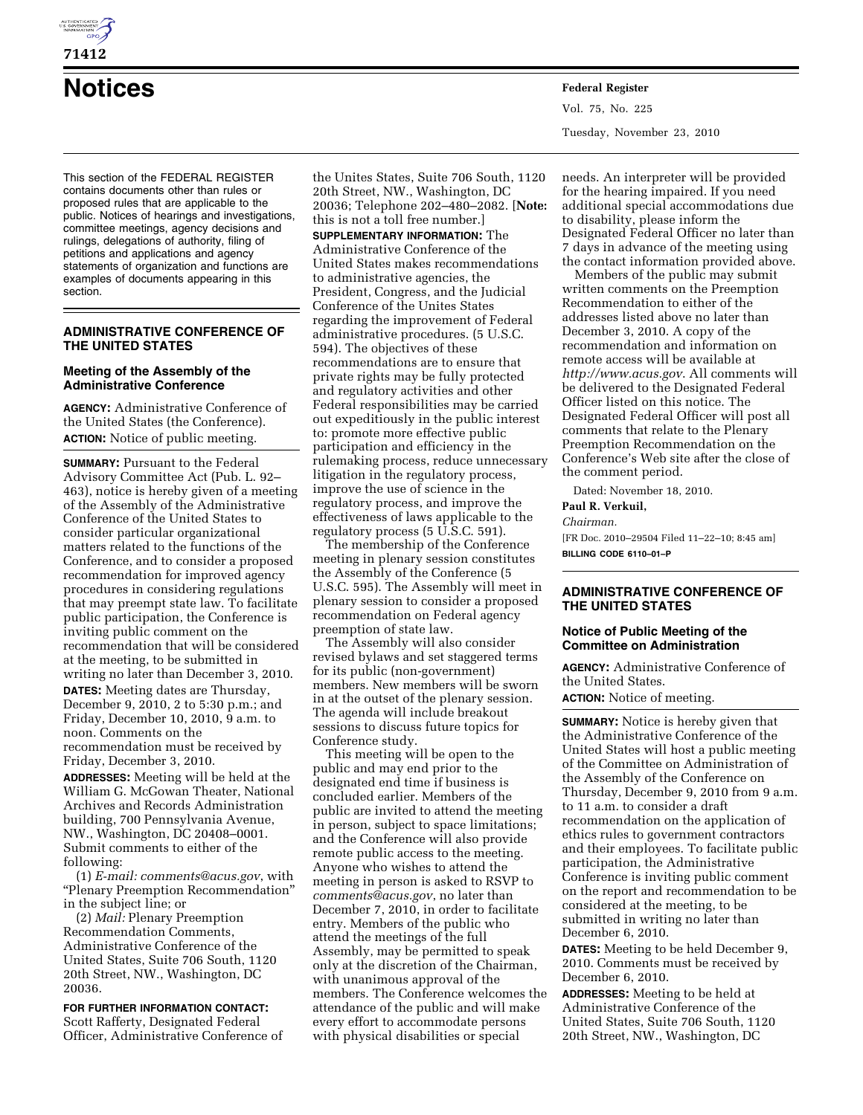

**71412** 

# **Notices Federal Register**

This section of the FEDERAL REGISTER contains documents other than rules or proposed rules that are applicable to the public. Notices of hearings and investigations, committee meetings, agency decisions and rulings, delegations of authority, filing of petitions and applications and agency statements of organization and functions are examples of documents appearing in this section.

## **ADMINISTRATIVE CONFERENCE OF THE UNITED STATES**

#### **Meeting of the Assembly of the Administrative Conference**

**AGENCY:** Administrative Conference of the United States (the Conference). **ACTION:** Notice of public meeting.

**SUMMARY: Pursuant to the Federal** Advisory Committee Act (Pub. L. 92– 463), notice is hereby given of a meeting of the Assembly of the Administrative Conference of the United States to consider particular organizational matters related to the functions of the Conference, and to consider a proposed recommendation for improved agency procedures in considering regulations that may preempt state law. To facilitate public participation, the Conference is inviting public comment on the recommendation that will be considered at the meeting, to be submitted in writing no later than December 3, 2010.

**DATES:** Meeting dates are Thursday, December 9, 2010, 2 to 5:30 p.m.; and Friday, December 10, 2010, 9 a.m. to noon. Comments on the recommendation must be received by Friday, December 3, 2010.

**ADDRESSES:** Meeting will be held at the William G. McGowan Theater, National Archives and Records Administration building, 700 Pennsylvania Avenue, NW., Washington, DC 20408–0001. Submit comments to either of the following:

(1) *E-mail: [comments@acus.gov](mailto:comments@acus.gov)*, with ''Plenary Preemption Recommendation'' in the subject line; or

(2) *Mail:* Plenary Preemption Recommendation Comments, Administrative Conference of the United States, Suite 706 South, 1120 20th Street, NW., Washington, DC 20036.

**FOR FURTHER INFORMATION CONTACT:**  Scott Rafferty, Designated Federal Officer, Administrative Conference of the Unites States, Suite 706 South, 1120 20th Street, NW., Washington, DC 20036; Telephone 202–480–2082. [**Note:**  this is not a toll free number.]

**SUPPLEMENTARY INFORMATION:** The Administrative Conference of the United States makes recommendations to administrative agencies, the President, Congress, and the Judicial Conference of the Unites States regarding the improvement of Federal administrative procedures. (5 U.S.C. 594). The objectives of these recommendations are to ensure that private rights may be fully protected and regulatory activities and other Federal responsibilities may be carried out expeditiously in the public interest to: promote more effective public participation and efficiency in the rulemaking process, reduce unnecessary litigation in the regulatory process, improve the use of science in the regulatory process, and improve the effectiveness of laws applicable to the regulatory process  $(5 \overline{U} \cdot S \cdot C \cdot 591)$ .

The membership of the Conference meeting in plenary session constitutes the Assembly of the Conference (5 U.S.C. 595). The Assembly will meet in plenary session to consider a proposed recommendation on Federal agency preemption of state law.

The Assembly will also consider revised bylaws and set staggered terms for its public (non-government) members. New members will be sworn in at the outset of the plenary session. The agenda will include breakout sessions to discuss future topics for Conference study.

This meeting will be open to the public and may end prior to the designated end time if business is concluded earlier. Members of the public are invited to attend the meeting in person, subject to space limitations; and the Conference will also provide remote public access to the meeting. Anyone who wishes to attend the meeting in person is asked to RSVP to *[comments@acus.gov](mailto:comments@acus.gov)*, no later than December 7, 2010, in order to facilitate entry. Members of the public who attend the meetings of the full Assembly, may be permitted to speak only at the discretion of the Chairman, with unanimous approval of the members. The Conference welcomes the attendance of the public and will make every effort to accommodate persons with physical disabilities or special

Vol. 75, No. 225 Tuesday, November 23, 2010

needs. An interpreter will be provided for the hearing impaired. If you need additional special accommodations due to disability, please inform the Designated Federal Officer no later than 7 days in advance of the meeting using the contact information provided above.

Members of the public may submit written comments on the Preemption Recommendation to either of the addresses listed above no later than December 3, 2010. A copy of the recommendation and information on remote access will be available at *<http://www.acus.gov>*. All comments will be delivered to the Designated Federal Officer listed on this notice. The Designated Federal Officer will post all comments that relate to the Plenary Preemption Recommendation on the Conference's Web site after the close of the comment period.

Dated: November 18, 2010.

**Paul R. Verkuil,** 

*Chairman.* 

[FR Doc. 2010–29504 Filed 11–22–10; 8:45 am] **BILLING CODE 6110–01–P** 

## **ADMINISTRATIVE CONFERENCE OF THE UNITED STATES**

## **Notice of Public Meeting of the Committee on Administration**

**AGENCY:** Administrative Conference of the United States.

**ACTION:** Notice of meeting.

**SUMMARY:** Notice is hereby given that the Administrative Conference of the United States will host a public meeting of the Committee on Administration of the Assembly of the Conference on Thursday, December 9, 2010 from 9 a.m. to 11 a.m. to consider a draft recommendation on the application of ethics rules to government contractors and their employees. To facilitate public participation, the Administrative Conference is inviting public comment on the report and recommendation to be considered at the meeting, to be submitted in writing no later than December 6, 2010.

**DATES:** Meeting to be held December 9, 2010. Comments must be received by December 6, 2010.

**ADDRESSES:** Meeting to be held at Administrative Conference of the United States, Suite 706 South, 1120 20th Street, NW., Washington, DC